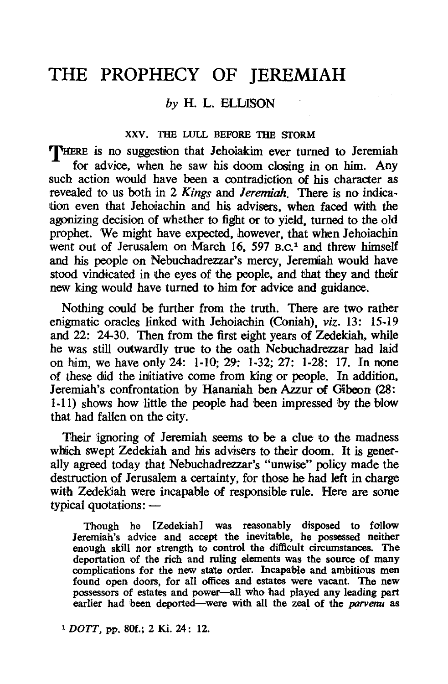# THE PROPHECY OF JEREMIAH

# *by* H. L. BLLISON

#### XXV. THE LULL BEFORE THE STORM

THERE is no suggestion that Jehoiakim ever turned to Jeremiah for advice, when he saw his doom closing in on him. Any such action would have been a contradiction of his character as revealed to us both in 2 *Kings* and *Jeremiah*. There is no indication even that Jehoiachin and his advisers, when faced with the agonizing decision of whether to fight or to yield, turned to the old prophet. We might have expected, however, that when Jehoiachin went out of Jerusalem on March 16, 597 B.C.<sup>1</sup> and threw himself and his people on Nebuchadrezzar's mercy, Jeremiah would have stood vindicated in the eyes of the people, and that they and their new king would have turned to him for advice and guidance.

Nothing could be further from the truth. There are two rather enigmatic oracles linked with Jehoiachin (Coniah), *viz.* 13: 15-19 and 22: 24-30. Then from the first eight years of Zedekiah, while he was still outwardly true to the oath Nebuchadrezzar had laid on him, we have only 24: 1-10; 29: 1-32; 27: 1-28: 17. In none of these did the initiative come from king or people. In addition, Jeremiah's confrontation by Hananiah ben Azzur of Gibeon (28: 1-11) shows how little the people had been impressed by the blow that had fallen on the city.

Their ignoring of Jeremiah seems to be a clue to the madness which swept Zedekiah and his advisers to their doom. It is generally agreed today that Nebuchadrezzar's "unwise" policy made the destruction of Jerusalem a certainty, for those he had left in charge with Zedekiah were incapable of responsible rule. Here are some typical quotations:  $-$ 

Though he [Zedekiah] was reasonably disposed to follow Jeremiah's advice and accept the inevitable, he possessed neither enough skill nor strength to control the difficult circumstances. The deportation of the rich and ruling elements was the source of many complications for the new state order. Incapable and ambitious men found open doors, for all offices and estates were vacant. The new possessors of estates and power-all who had played any leading part earlier had been deported—were with all the zeal of the *parvenu* as

<sup>1</sup> DOTT, pp. 80f.; 2 Ki. 24: 12.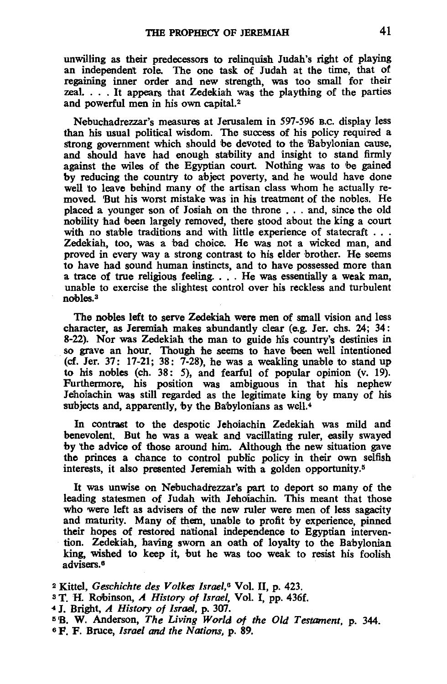unwilling as their predecessors to relinquish Judah's right of playing an independent role. The one task of Judah at the time, that of regaining inner order and new strength, was too small for their zeal. . . . It appears that Zedekiah was the plaything of the parties and powerful men in his own capital.<sup>2</sup>

Nebuchadrezzar's measures at Jerusalem in 597-596 B.C. display less than his usual political wisdom. The success of his policy required a strong government which should be devoted to the Babylonian cause, and should have had enough stability and insight to stand firmly against the wiles of the Egyptian court. Nothing was to be gained by reducing the country to abject poverty, and he would have done well to leave behind many of the artisan class whom he actually removed. 'But his worst mistake was in his treatment of the nobles. He placed a younger son of Josiah on the throne . . . and, since the old nobility had been largely removed, there stood about the king a court with no stable traditions and with little experience of statecraft  $\dots$ Zedekiah, too, was a bad choice. He was not a wicked man, and proved in every way a strong contrast to his elder brother. He seems to have had sound human instincts, and to have possessed more than a trace of true religious feeling. . . . He was essentially a weak man, unable to exercise the slightest control over his reckless and turbulent nobles.3

The nobles left to serve Zedekiah were men of small vision and less character, as Jeremiah makes abundantly clear (e.g. Jer. chs. 24; 34: 8-22). Nor was Zedekiah the man to guide his country's destinies in so grave an hour. Though he seems to have been well intentioned (cf. Jer. 37: 17-21; 38: 7-28), he was a weakling unable to stand up to his nobles (ch. 38: 5), and fearful of popular opinion  $(v, 19)$ . Furthermore, his position was ambiguous in that his nephew Jehoiachin was still regarded as the legitimate king by many of his subjects and, apparently, by the Babylonians as well. $4$ 

In contrast to the despotic Jehoiachin Zedekiah was mild and benevolent. But he was a weak and vacillating ruler, easily swayed by the advice of those around him. Although the new situation gave the princes a chance to control public policy in their own selfish interests, it also presented Jeremiah with a golden opportunity.<sup>5</sup>

It was unwise on Nebuchadrezzar's part to deport so many of the leading statesmen of Judah with Jehojachin. This meant that those who were left as advisers of the new ruler were men of less sagacity and maturity. Many of them, unable to profit by experience, pinned their hopes of restored national independence to Egyptian intervention. Zedekiah, having sworn an oath of loyalty to the Babylonian king, wished to keep it, but he was too weak to resist his foolish advisers.6

<sup>2</sup> Kittel, *Geschichte des Volkes Israel*,<sup>6</sup> Vol. II, p. 423.

<sup>3</sup> T. H. Robinson, *A History of Israel*, Vol. I, pp. 436f. 4 J. Bright, *A History of Israel*, p. 307.

<sup>3</sup>'B. W. AndersO'n, *The Living Wor/d of the Old Testament,* p. 344. 6 P. F.Bruce, *Israel and the Nations,* p. 89.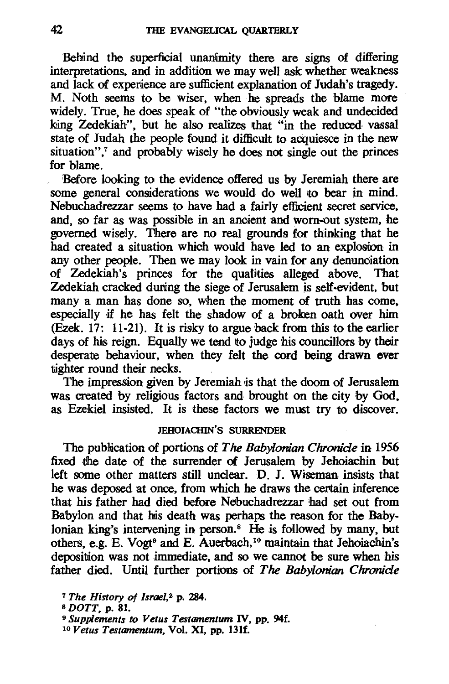Behind the superficial unanimity there are signs of differing interpretations, and in addition we may well ask whether weakness and lack of experience are sufficient explanation of Judah's tragedy. M. Noth seems to be wiser, when he spreads the blame more widely. True, he does speak of "the obviously weak and undecided king Zedekiah", but he also realizes that "in the reduced vassal state of Judah the people found it difficult to acquiesce *in* the new situation", $7$  and probably wisely he does not single out the princes for blame.

'Before looking to the evidence offered us by Jeremiah there are some general considerations we would do well to bear in mind. Nebuchadrezzar seems to have had a fairly efficient secret service, and, so far as was possible *in* an anoient and worn-out system, he governed wisely. There are no real grounds for thinking that he had created a situation which would have led to an explosion in any other people. Then we may look in vain for any denunoiation of Zedekiah's princes for the qualities alleged above. That Zedekiah cracked during the siege of Jerusalem is self-evident, but many a man has done so, when the moment of truth has come, especially if he has felt the shadow of a broken oath over him (Ezek. 17: 11-21). It is risky to argue back from this to the earlier days of his reign. Equally we tend to judge his councillors by their desperate behaviour, when they felt the cord being drawn ever tighter round their necks.

The impression given by Jeremiah is that the doom of Jerusalem was created by religious factors and brought on the city by God, as Ezekiel insisted. lit is these factors we must try to discover.

### JEHOIACHIN'S SURRENDER

The publication of portions of *The Babylonian Chronicle* in 1956 fixed the date of the surrender of Jerusalem by Jehoiachin but left some other matters still unclear. D. J. Wiseman insists that he was deposed at once, from which he draws the certain inference that his father had died before Nebuchadrezzar had set out from Babylon and that his death was perhaps the reason for the Babylonian king's intervening in person.<sup>8</sup> He is followed by many, but others, e.g. E. Vogt<sup>9</sup> and E. Auerbach,<sup>10</sup> maintain that Jehoiachin's deposition was not immediate, and so we cannot be sure when his father died. Until further portions of *The Babylonian Chronicle* 

<sup>7</sup> *The History of Israel,2* p. 284.

<sup>8</sup>*DOTT,* p. 81.

<sup>9</sup>*Supplements to Vetus Testamentum* IV, pp. 94f.

*<sup>10</sup> Vetus Testamentum,* Vol. XI, pp. 13lf.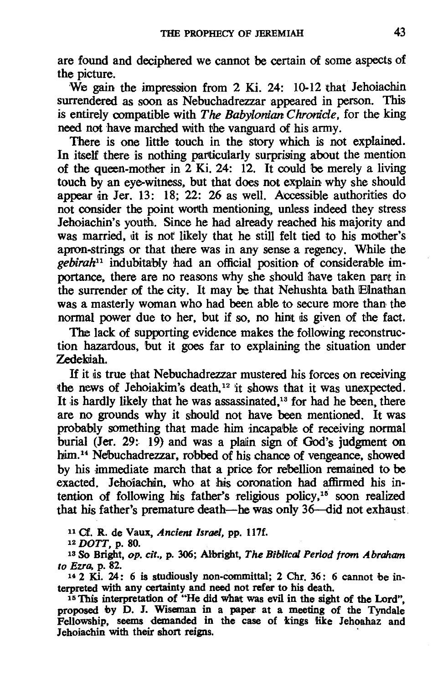are found and deciphered we cannot be certain of some aspects of the picture.

We gain the impression from 2 Ki. 24:  $10-12$  that Jehoiachin surrendered as soon as Nebuchadrezzar appeared in person. This is entirely compatible with *The Babyionian Chronicle,* for the king need not have marched with the vanguard of his army.

There is one little touch in the story which is not explained. In itself there is nothing particularly surprising about the mention of the queen-mother in  $2$  Ki. 24: 12. It could be merely a living touch by an eye-witness, but that does not explain why she should appear *an* Jer. 13: 18; 22: 26 as well. Accessible authorities do not consider the point worth mentioning, unless indeed they stress Jehoiachin's youth. Since he had already reached his majority and was married, it is not likely that he still felt tied to his mother's apron-strings or that there was in any sense a regency. While the *gebirah11* indubitably had an official position of considerable importance, there are no reasons why she should have taken part in the surrender of the city. It may be that Nehushta bath Elnathan was a masterly woman who had been able to secure more than the normal power due to her, but if so, no hint is given of the fact.

The lack of supporting evidence makes the following reconstruction hazardous, but it goes far to explaining the situation under Zedekiah.

If it lis true that Nebuchadrezzar mustered his forces on receiving the news of Jehoiakim's death,<sup>12</sup> it shows that it was unexpected. It is hardly likely that he was assassinated, $13$  for had he been, there are no grounds why it should not have been mentioned. It was probably something that made him incapable of receiving normal burial (Jer. 29: 19) and was a plain sign of God's judgment on him.<sup>14</sup> Nebuchadrezzar, robbed of his chance of vengeance, showed by his immediate march that a price for rebellion remained to be exacted. Jehoiachin, who at his coronation had affirmed his intention of following his father's religious policy, $15$  soon realized that his father's premature death-he was only 36--did not exhaust.

<sup>11</sup> Cf. R. de Vaux, *Ancient Israel*, *pp. 117f.* 

12 DOTT, p. 80.

13 So Bright, *op. cit.,* p. 306; Albright, *The Biblical Period from Abraham to Ezra,* p. 82.

 $14$  2 Ki. 24: 6 is studiously non-committal; 2 Chr. 36: 6 cannot be interpreted with any certainty and need not refer to his death.

<sup>15</sup> This interpretation of "He did what was evil in the sight of the Lord", proposed by D. 1. Wiseman in a paper at a meeting of the Tyndale Fellowship, seems demanded in the case of kings like Iehoahaz and Jehoiachin with their short reigns.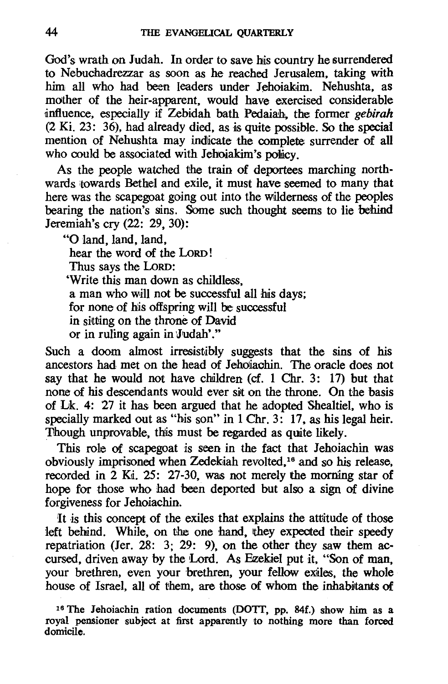God's wrath on Judah. In order to save his country he surrendered to Nebuchadrezzar as soon as he reached Jerusalem. taking with him all who had been leaders under Jehoiakim. Nehushta, as mother of the heir-apparent. would have exercised considerable dnftuence. especially if Zebidah bath Pedaiah. the former *gebirah*  (2 Ki. 23: 36). had already died. as is quite possible. So the special mention of Nehushta may indicate the complete surrender of all who could be associated with Jehoiakim's policy.

As the people watched the train of deportees marching northwards towards Bethel and exile, it must have seemed to many that here was the scapegoat going out into the wilderness of the peoples bearing the nation's sins. Some such thought seems to lie behind Jeremiah's cry (22: 29,30):

"0 land, land. land. hear the word of the LoRD! Thus says the LoRD: 'Write this man down as childless. a man who will not be successful all his days; for none of his offspring will be successful in sitting on the throne of David or in ruling again in Judah'."

Such a doom almost irresistibly suggests that the sins of his ancestors had met on the head of Jehoiaohin. The oracle does not say that he would not have children (cf. 1 Chr. 3: 17) but that none of his descendants would ever sit on the throne. On the basis of Lk. 4: 27 it has been argued that he adopted Shealtiel, who is specially marked out as "his son" in  $1 \text{ Chr. } 3$ : 17, as his legal heir. Though unprovable, this must be regarded as quite likely.

This role of scapegoat is seen in the fact that Jehoiachin was obviously imprisoned when Zedekjah revolted.<sup>16</sup> and so his release. recorded in 2 Ki, 25: 27-30, was not merely the morning star of hope for those who had been deported but also a sign of divine forgiveness for Jehoiachin.

It is this concept of the exiles that explains the attitude of those left behind. While, on the one hand, they expected their speedy repatriation (Jer. 28: 3; 29: 9), on the other they saw them accursed. driven away by the Lord. As Ezekiel put it. "Son of man. your brethren, even your brethren, your fellow exiles, the whole house of Israel, all of them, are those of whom the inhabitants of

<sup>16</sup> The Jehoiachin ration documents (DOTT, pp. 84f.) show him as a royal pensioner subject at first apparently to nothing more than forced domicile.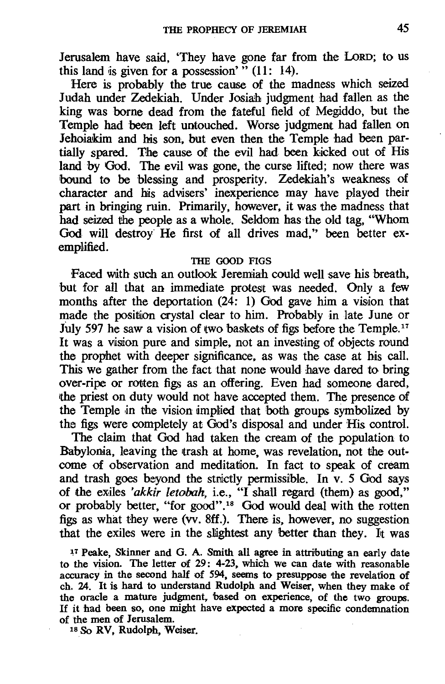Jerusalem have said, 'They have gone far from the LoRD; to us this land is given for a possession'"  $(11: 14)$ .

Here is probably the true cause of the madness which seized Judah under Zedekiah. Under Josiah judgment had fallen as the king was borne dead from the fateful field of Megiddo, but the Temple had been left untouched. Worse judgment had fallen on Jehoiakim and his son, but even then the Temple had been partially spared. The cause of the evil had been kicked out of His land by God. The evil was gone, the curse lifted; now there was bound to be blessing and prosperity. Zedekiah's weakness of character and his advisers' inexperience may have played their part in bringing ruin. Primarily, however, it was the madness that had seized the people as a whole. Seldom has the old tag, "Whom God will destroy He first of all drives mad," been better exemplified.

#### THE GOOD FIGS

Faced with such an outlook Jeremiah could well save his breath, but for all that an immediate protest was needed. Only a few months after the deportation  $(24: 1)$  God gave him a vision that made the position crystal clear to him. Probably in late June or July 597 he saw a vision of two baskets of figs before the Temple.<sup>17</sup> It was a vision pure and simple, not an investing of objects round the prophet with deeper significance, as was the case at his call. This we gather from the fact that none would have dared to bring over-ripe or rotten figs as an offering. Even had someone dared, the priest on duty would not have accepted them. The presence of the Temple in the vision implied that both groups symbolized by the figs were completely at God's disposal and under His control.

The claim that God had taken the cream of the population to Babylonia, leaving the trash at home, was revelation, not the outcome of observation and meditation. In fact to speak of cream and trash goes beyond the strictly permissible. In v. 5 God says of the exiles *'akkir letobah*, i.e., "I shall regard (them) as good," or probably better, "for good".18 God would deal with the rotten figs as what they were (vv. 8ff.). There is, however, no suggestion that the exiles were in the slightest any better than they. It was

<sup>17</sup> Peake, Skinner and G. A. Smith all agree in attributing an early date to the vision. The letter of 29: 4-23, which we can date with reasonable accuracy in the second half of 594, seems to presuppose the revelation of ch. 24. It is hard to understand Rudolph and Weiser, when they make of the oracle a mature judgment, 'based on experience, of the two groups. If it had been so, one might have expected a more specific condemnation of the men of Jerusalem.

18 So RV, Rudolph, Weiser.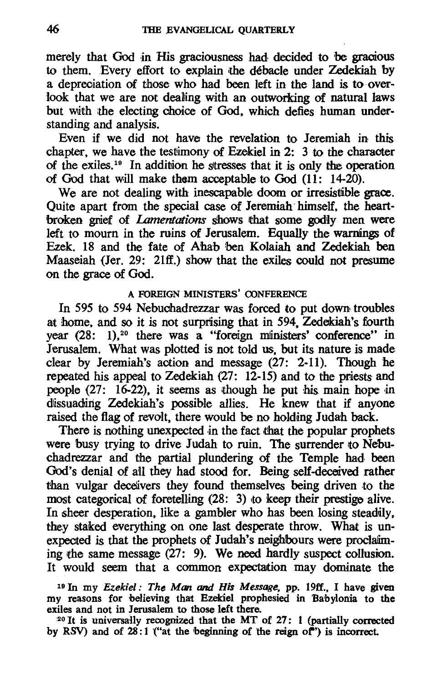merely that God in His graciousness had decided to be gracious to them. Every effort to explain 'the debacle under Zedekiah by a depreciation of those who had been left in the land is to overlook that we are not dealing with an outworking of natural laws but with the electing choice of God. which defies human understanding and analysis.

Even if we did not have the revelation to Jeremiah in this chapter, we have the testimony of Ezekiel in 2:  $\overline{3}$  to the character of the exiles.<sup>19</sup> In addition he stresses that it is only the operation of God that will make them acceptable to God  $(11: 14-20)$ .

We are not dealing with inescapable doom or irresistible grace. Quite apart from the special case of Jeremiah- himself. the heartbroken grief of *Lamentations* shows that some godly men were left to mourn in the ruins of Jerusalem. Equally the warnings of Ezek. 18 and the fate of Ahab ben Kolaiah and Zedekiah ben Maaseiah (Jer. 29: 21ff.) show that the exiles could not presume on the grace of God.

#### A FOREIGN MINISTERS' OONFERENCE

In 595 to 594 Nebuchadrezzar was forced to put down troubles at home, and so it is not surprising that in 594. Zedekiah's fourth year (28: 1),<sup>20</sup> there was a "foreign ministers' conference" in Jerusalem. What was plotted is not told us. but its nature is made clear by Jeremiah's action and message (27: 2-11). Though he repeated his appeal to Zedekiah  $(27: 12-15)$  and to the priests and people  $(27: 16-22)$ , it seems as though he put his main hope in dissuading Zedekiah's possible allies. He knew that if anyone raised the flag of revolt, there would be no holding Judah back.

There is nothing unexpected in the fact that the popular prophets were busy trying to drive Judah to ruin. The surrender to Nebuchadrezzar and the partial plundering of the Temple had been God's denial of all they had stood for. Being self-deceived rather than vulgar deceivers they found themselves being driven to the most categorical of foretelling  $(28: 3)$  to keep their prestige alive. In sheer desperation, like a gambler who has been losing steadily, they staked everything on one last desperate throw. What is unexpected is that the prophets of Judah's neighbours were proclaiming the same message  $(27: 9)$ . We need hardly suspect collusion. It would seem that a common expectation may dominate the

<sup>19</sup> In my *Ezekiel: The Man and His Message*, pp. 19ff., I have given my reasons for believing that Ezekiel prophesied in Babylonia to the exiles and not in Jerusalem to those left there.

 $20$  It is universally recognized that the MT of 27: 1 (partially corrected by RSV) and of  $28:1$  ("at the beginning of the reign of") is incorrect.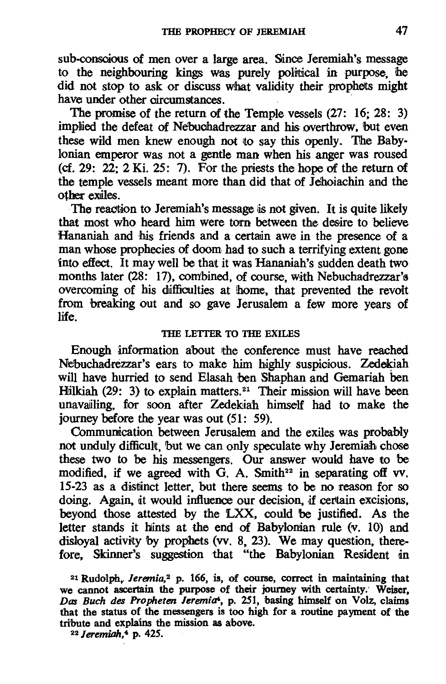sub-conscious of men over a large area. Since Jeremiah's message to the neighbouring kings was purely political in purpose, he did not stop to ask or discuss what validity their prophets might have under other circumstances.

The promise of the return of the Temple vessels (27: 16; 28: 3) implied the defeat of Nebuchadrezzar and his overthrow, but even these wild men knew enough not to say this openly. The Baby-Ionian emperor was not a gentle man when his anger was roused (cf. 29:  $22: 2$  Ki. 25: 7). For the priests the hope of the return of the temple vessels meant more than did that of Jehoiachin and the other exiles.

The reaction to Jeremiah's message is not given. It is quite likely that most who heard him were torn between the desire to believe Hananiah and his friends and a certain awe in the presence of a man whose prophecies of doom had to such a terrifying extent gone into effect. It may well be that it was Hananiah's sudden death two months later (28: 17), combined, of course, with Nebuchadrezzar's overcoming of his difficulties at home, that prevented the revolt from breaking out and so gave Jerusalem a few more years of life.

#### THE LETTER TO THE EXILES

Enough information about the conference must have reached Nebuchadrezzar's ears to make him highly suspicious. Zedekiah will have hurried to send Elasah ben Shaphan and Gemariah ben Hilkiah (29: 3) to explain matters.<sup>21</sup> Their mission will have been unavailing, for soon after Zedekiah himself had to make the journey before the year was out (51: 59).

Communication between Jerusalem and the exiles was probably not unduly difficult, but we can only speculate why Jeremiah chose these two to be his messengers. Our answer would have to be modified, if we agreed with G. A. Smith<sup>22</sup> in separating off vv. 15-23 as a distiinct letter, but there seems to be no reason for so doing. Again, it would influence our decision, if certain excisions, beyond those attested by the LXX, could be justified. As the letter stands it hints at the end of Babylonian rule (v. 10) and disloyal activity by prophets (vv. 8, 23). We may question, therefore, Skinner's suggestion that "the Babylonian Resident *an* 

21 Rudolph,. *Jeremia,2* p. 166, is, of course, correct in maintaining that we cannot ascertain the purpose of their journey with certainty: Weiser, *Dos Buch des Propheten lerem"a4,* p. 251, basing himself on Volz, claims that the status of the messengers is too high for a routine payment of the tribute and explains the mission as above. 22 *Jeremiah,4* p. 425.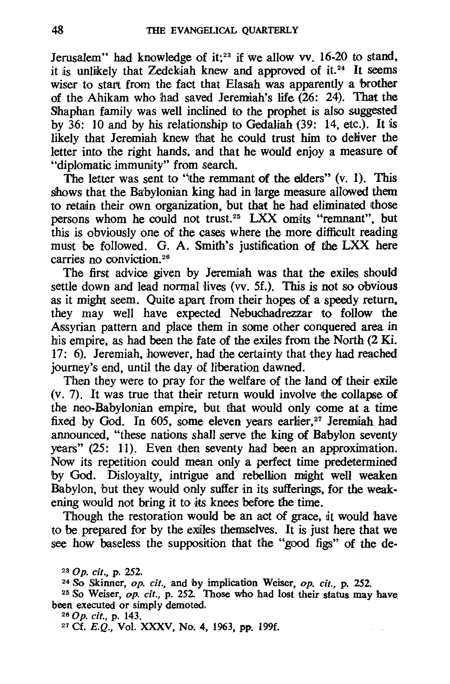Jerusalem" had knowledge of it;<sup>23</sup> if we allow vv. 16-20 to stand, it is unlikely that Zedekiah knew and approved of it.<sup>24</sup> It seems wiser to start from the fact that Elasah was apparently a brother of the Ahikam who had saved Jeremiah's life (26: 24). That the Shaphan family was well inclined to the prophet is also suggested by  $36: 10$  and by his relationship to Gedaliah (39: 14, etc.). It is likely that Jeremiah knew that he could trust him to deliver the letter into the right hands, and that he would enjoy a measure of "diplomatic immunity" from search.

The letter was sent to "the remmant of the elders"  $(v, 1)$ . This shows that the Babylonian king had in large measure allowed them to retain their own organization, but that he had eliminated those persons whom he could not trust.<sup>25</sup> LXX omits "remnant", but this is obviously one of the cases where the more difficult reading must be followed. G. A. Smith's justification of the LXX here carries no conviction. 26

The first advice given by Jeremiah was that the exiles should settle down and lead normal lives (vv. Sf.). This is not so obvious as it might seem. Quite apart from their hopes of a speedy return, they may well have expected Nebuchadrezzar to follow the Assyrian pattern and place them in some other conquered area in his empire, as had been the fate of the exiles from the North (2 Ki. 17: 6). Jeremiah, however, had the certainty that they had reached journey's end, until the day of liberation dawned.

Then they were to pray for the welfare of the land of their exile  $(v, 7)$ . It was true that their return would involve the collanse of the neo-Babylonian empire, but that would only come at a time fixed by God. In 605, some eleven years earlier,<sup>27</sup> Jeremiah had announced, "these nations shall serve the king of Babylon seventy years" (25: 11). Even then seventy had been an approximation. Now its repetition could mean only a perfect time predetermined by God. Disloyalty, intrigue and rebelllion might well weaken Babylon, but they would only suffer in its sufferings, for the weakening would not bring it to its knees before the time.

Though the restoration would be an act of grace, it would have to be prepared for by the exiles themselves. It is just here that we see how baseless the supposition that the "good figs" of the de-

*230p. cit.,* p. 252.

24 So Skinner, op. *cit.,* and by implication Weiser, op. *cit.,* p. 252.

<sup>25</sup> So Weiser, *op. cit.*, p. 252. Those who had lost their status may have been executed or simply demoted.

*260p. cit.,* p. 143.

27 Cf. E.Q., Vol. XXXV, No. 4, 1963, pp. 199f.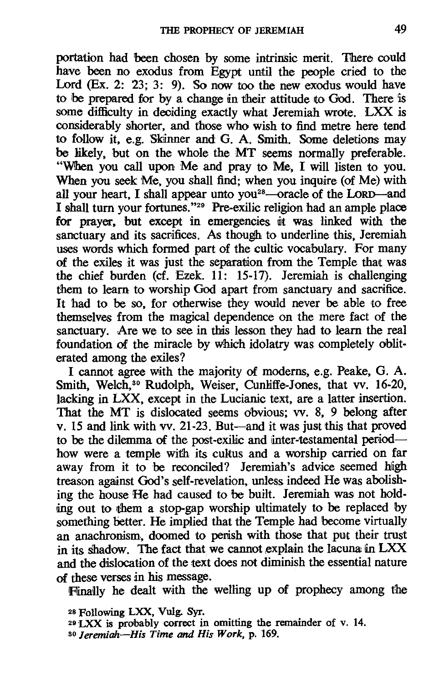portation had been chosen by some intrinsic merit. There could have been no exodus from Egypt until the people cried to the Lord (Ex. 2: 23: 3: 9). So now too the new exodus would have to be prepared for by a change in their attitude to God. There is some difficulty in deciding exactly what Jeremiah wrote. LXX is considerably shorter, and those who wish to find metre here tend to follow it, e.g. Skinner and G. A. Smith. Some deletions may be likely, but on the whole the MT seems normally preferable. "When you call upon Me and pray to Me. I will listen to you. When you seek Me, you shall find; when you inquire (of Me) with all your heart. I shall appear unto you<sup>28</sup>-oracle of the LORD-and I shall turn your fortunes."<sup>29</sup> Pre-exilic religion had an ample place for prayer. but except in emergencies it was linked with the sanctuary and its sacrifices. As though to underline this, Jeremiah uses words which formed part of the cultic vocabulary. For many of the exiles it was just the separation from the Temple that was the chief burden (cf. Ezek. 11: 15-17). Jeremiah is challenging them to learn to worship God apart from sanctuary and sacrifice. It had to be so, for otherwise they would never be able to free themselves from the magical dependence on the mere fact of the sanctuary. Are we to see in this lesson they had to learn the real foundation of the miracle by which idolatry was completely obliterated among the exiles?

I cannot agree with the majority of modems. e.g. Peake, G. A. Smith, Welch,<sup>30</sup> Rudolph, Weiser. Cunliffe-Jones, that vv. 16-20, lacking in LXX, except in the Lucianic text, are a latter insertion. That the MT is dislocated seems obvious; vv. 8, 9 belong after v. 15 and link with w. 21-23. But-and it was just this that proved to be the dilemma of the post-exilic and inter-testamental periodhow were a temple with its cultus and a worship carried on far away from it to be reconciled? Jeremiah's advice seemed high treason against God's self-revelation, unless indeed He was abolishing the house He had caused to be built. Jeremiah was not holding out to them a stop-gap worship ultimately to be replaced by something better. He implied that the Temple had become virtually an anachronism, doomed to perish with those that put their trust in its shadow. The fact that we cannot explain the lacuna in  $LXX$ and the dislocation of the text does not diminish the essential nature of these verses in his message.

Finally he dealt with the welling up of prophecy among the

- <sup>29</sup> LXX is probably correct in omitting the remainder of v. 14.
- *80 Jeremiah-His Time* and *His Work,* p.169.

<sup>28</sup>Following LXX, Vulg. Syr.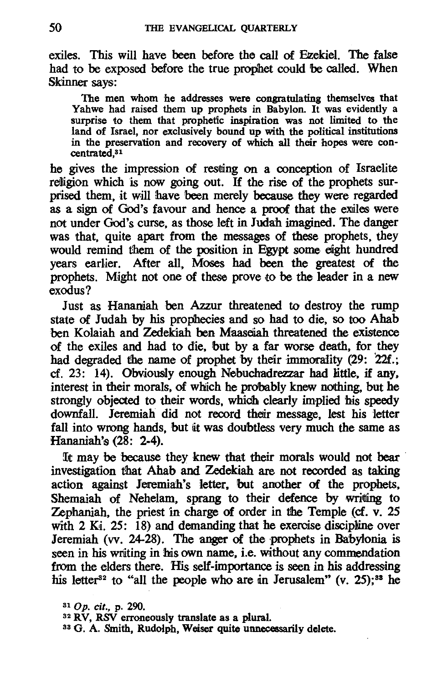exiles. This will have been before the call of Ezekiel. The false had to be exposed before the true prophet could be called. When Skinner says:

The men whom he addresses were congratulating themselves that Yahwe had raised them up prophets in Babylon. It was evidently a surprise to them that prophetic inspiration was not limited to the land of Israel, nor exclusively bound up with the political institutions in the preservation and recovery of which all their hopes were con-<br>centrated,<sup>31</sup>

he gives the impression of resting on a conception of Israelite religion which is now going out. If the rise of the prophets surprised them, it will have been merely because they were regarded as a sign of God's favour and hence a proof that the exiles were not under God's curse, as those left in Judah imagined. The danger was that, quite apart from the messages of these prophets, they would remind them of the position in Egypt some eight hundred years earlier. After all, Moses had been the greatest of the prophets. Might not one of these prove to be the leader in a new exodus?

Just as Hananiah ben Azzur threatened to destroy the rump state of Judah by his prophecies and so had to die, so too Ahab ben Kolaiah and Zedekiah ben Maaseiah threatened the existence of the exiles and had to die, but by a far worse death, for they had degraded the name of prophet by their immorality (29: 22f.; cf. 23: 14). Obviously enough Nebuchadrezzar had little, if any, interest in their morals, of which he prdbably knew nothing, but he strongly objected to their words, which clearly implied his speedy downfall. Jeremiah did not record thetir message, lest his letter fall into wrong hands, but it was doubtless very much the same as Hananiah's (28: 2-4).

It may be because they knew that their morals would not bear investigation that Ahab and Zedekiah are not recorded as taking action against Jeremiah's letter, but another of the prophets, Shemaiah of Nehelam, sprang to their defence by writing to Zephaniah, the priest in charge of order in the Temple (cf. v. 25 with  $2$  K<sub>i</sub>.  $25$ : 18) and demanding that he exercise discipline over Jeremiah (vv.  $24-28$ ). The anger of the prophets in Babylonia is seen in his writing in his own name, i.e. without any commendation from the elders there. His self-importance is seen in his addressing his letter<sup>32</sup> to "all the people who are in Jerusalem" (v. 25);<sup>38</sup> he

32 RV, RSV erroneously translate as a plural.

<sup>33</sup> G. A. Smith, Rudolph, Weiser quite unnecessarily delete.

<sup>310</sup>p. cif., p. 290.